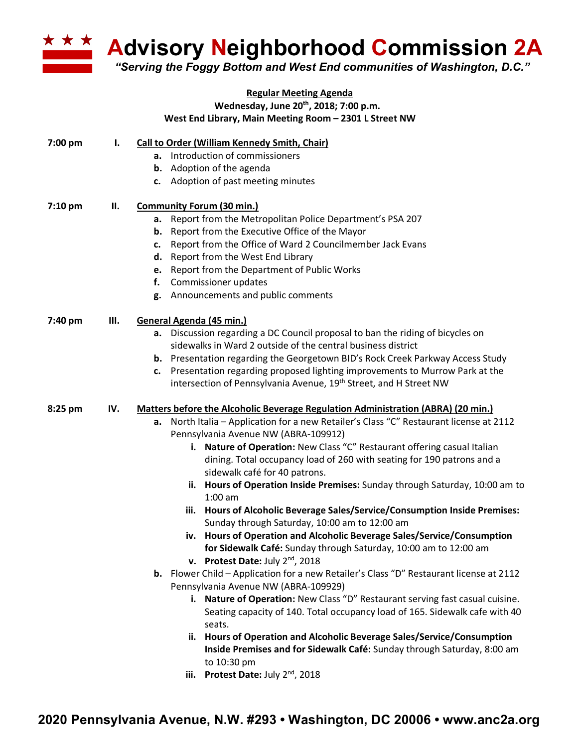

**Advisory Neighborhood Commission 2A** 

*"Serving the Foggy Bottom and West End communities of Washington, D.C."*

## **Regular Meeting Agenda Wednesday, June 20th, 2018; 7:00 p.m. West End Library, Main Meeting Room – 2301 L Street NW**

| 7:00 pm | I.  | Call to Order (William Kennedy Smith, Chair)                                               |
|---------|-----|--------------------------------------------------------------------------------------------|
|         |     | a. Introduction of commissioners                                                           |
|         |     | <b>b.</b> Adoption of the agenda                                                           |
|         |     | c. Adoption of past meeting minutes                                                        |
| 7:10 pm | П.  | <b>Community Forum (30 min.)</b>                                                           |
|         |     | a. Report from the Metropolitan Police Department's PSA 207                                |
|         |     | <b>b.</b> Report from the Executive Office of the Mayor                                    |
|         |     | Report from the Office of Ward 2 Councilmember Jack Evans<br>c.                            |
|         |     | Report from the West End Library<br>d.                                                     |
|         |     | Report from the Department of Public Works<br>е.                                           |
|         |     | f.<br>Commissioner updates                                                                 |
|         |     | g. Announcements and public comments                                                       |
| 7:40 pm | Ш.  | General Agenda (45 min.)                                                                   |
|         |     | a. Discussion regarding a DC Council proposal to ban the riding of bicycles on             |
|         |     | sidewalks in Ward 2 outside of the central business district                               |
|         |     | b. Presentation regarding the Georgetown BID's Rock Creek Parkway Access Study             |
|         |     | Presentation regarding proposed lighting improvements to Murrow Park at the<br>c.          |
|         |     | intersection of Pennsylvania Avenue, 19 <sup>th</sup> Street, and H Street NW              |
| 8:25 pm | IV. | Matters before the Alcoholic Beverage Regulation Administration (ABRA) (20 min.)           |
|         |     | North Italia - Application for a new Retailer's Class "C" Restaurant license at 2112<br>а. |
|         |     | Pennsylvania Avenue NW (ABRA-109912)                                                       |
|         |     | Nature of Operation: New Class "C" Restaurant offering casual Italian<br>i.                |
|         |     | dining. Total occupancy load of 260 with seating for 190 patrons and a                     |
|         |     | sidewalk café for 40 patrons.                                                              |
|         |     | ii. Hours of Operation Inside Premises: Sunday through Saturday, 10:00 am to<br>$1:00$ am  |
|         |     | iii. Hours of Alcoholic Beverage Sales/Service/Consumption Inside Premises:                |
|         |     | Sunday through Saturday, 10:00 am to 12:00 am                                              |
|         |     | iv. Hours of Operation and Alcoholic Beverage Sales/Service/Consumption                    |
|         |     | for Sidewalk Café: Sunday through Saturday, 10:00 am to 12:00 am                           |
|         |     | v. Protest Date: July $2^{nd}$ , 2018                                                      |
|         |     | b. Flower Child - Application for a new Retailer's Class "D" Restaurant license at 2112    |
|         |     | Pennsylvania Avenue NW (ABRA-109929)                                                       |
|         |     | i. Nature of Operation: New Class "D" Restaurant serving fast casual cuisine.              |
|         |     | Seating capacity of 140. Total occupancy load of 165. Sidewalk cafe with 40                |
|         |     | seats.                                                                                     |
|         |     | Hours of Operation and Alcoholic Beverage Sales/Service/Consumption<br>ii.                 |
|         |     | Inside Premises and for Sidewalk Café: Sunday through Saturday, 8:00 am                    |
|         |     | to 10:30 pm                                                                                |
|         |     | Protest Date: July 2nd, 2018<br>iii.                                                       |